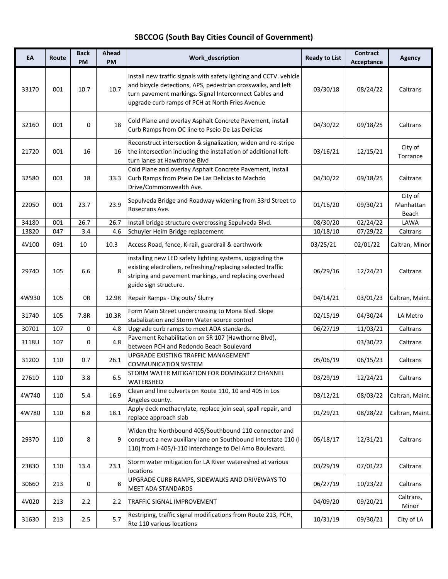## **SBCCOG (South Bay Cities Council of Government)**

| EA    | Route | <b>Back</b><br><b>PM</b> | Ahead<br>PM | Work_description                                                                                                                                                                                                                                | <b>Ready to List</b> | <b>Contract</b><br>Acceptance | Agency                        |
|-------|-------|--------------------------|-------------|-------------------------------------------------------------------------------------------------------------------------------------------------------------------------------------------------------------------------------------------------|----------------------|-------------------------------|-------------------------------|
| 33170 | 001   | 10.7                     | 10.7        | Install new traffic signals with safety lighting and CCTV. vehicle<br>and bicycle detections, APS, pedestrian crosswalks, and left<br>turn pavement markings. Signal Interconnect Cables and<br>upgrade curb ramps of PCH at North Fries Avenue | 03/30/18             | 08/24/22                      | Caltrans                      |
| 32160 | 001   | 0                        | 18          | Cold Plane and overlay Asphalt Concrete Pavement, install<br>Curb Ramps from OC line to Pseio De Las Delicias                                                                                                                                   | 04/30/22             | 09/18/25                      | Caltrans                      |
| 21720 | 001   | 16                       | 16          | Reconstruct intersection & signalization, widen and re-stripe<br>the intersection including the installation of additional left-<br>turn lanes at Hawthrone Blvd                                                                                | 03/16/21             | 12/15/21                      | City of<br>Torrance           |
| 32580 | 001   | 18                       | 33.3        | Cold Plane and overlay Asphalt Concrete Pavement, install<br>Curb Ramps from Pseio De Las Delicias to Machdo<br>Drive/Commonwealth Ave.                                                                                                         | 04/30/22             | 09/18/25                      | Caltrans                      |
| 22050 | 001   | 23.7                     | 23.9        | Sepulveda Bridge and Roadway widening from 33rd Street to<br>Rosecrans Ave.                                                                                                                                                                     | 01/16/20             | 09/30/21                      | City of<br>Manhattan<br>Beach |
| 34180 | 001   | 26.7                     | 26.7        | Install bridge structure overcrossing Sepulveda Blvd.                                                                                                                                                                                           | 08/30/20             | 02/24/22                      | LAWA                          |
| 13820 | 047   | 3.4                      | 4.6         | Schuyler Heim Bridge replacement                                                                                                                                                                                                                | 10/18/10             | 07/29/22                      | Caltrans                      |
| 4V100 | 091   | 10                       | 10.3        | Access Road, fence, K-rail, guardrail & earthwork                                                                                                                                                                                               | 03/25/21             | 02/01/22                      | Caltran, Minor                |
| 29740 | 105   | 6.6                      | 8           | installing new LED safety lighting systems, upgrading the<br>existing electroliers, refreshing/replacing selected traffic<br>striping and pavement markings, and replacing overhead<br>guide sign structure.                                    | 06/29/16             | 12/24/21                      | Caltrans                      |
| 4W930 | 105   | 0R                       | 12.9R       | Repair Ramps - Dig outs/ Slurry                                                                                                                                                                                                                 | 04/14/21             | 03/01/23                      | Caltran, Maint.               |
| 31740 | 105   | 7.8R                     | 10.3R       | Form Main Street undercrossing to Mona Blvd. Slope<br>stabalization and Storm Water source control                                                                                                                                              | 02/15/19             | 04/30/24                      | LA Metro                      |
| 30701 | 107   | 0                        | 4.8         | Upgrade curb ramps to meet ADA standards.                                                                                                                                                                                                       | 06/27/19             | 11/03/21                      | Caltrans                      |
| 3118U | 107   | 0                        | 4.8         | Pavement Rehabilitation on SR 107 (Hawthorne Blvd),<br>between PCH and Redondo Beach Boulevard                                                                                                                                                  |                      | 03/30/22                      | Caltrans                      |
| 31200 | 110   | 0.7                      | 26.1        | UPGRADE EXISTING TRAFFIC MANAGEMENT<br><b>COMMUNICATION SYSTEM</b>                                                                                                                                                                              | 05/06/19             | 06/15/23                      | Caltrans                      |
| 27610 | 110   | 3.8                      | 6.5         | STORM WATER MITIGATION FOR DOMINGUEZ CHANNEL<br>WATERSHED                                                                                                                                                                                       | 03/29/19             | 12/24/21                      | Caltrans                      |
| 4W740 | 110   | 5.4                      | 16.9        | Clean and line culverts on Route 110, 10 and 405 in Los<br>Angeles county.                                                                                                                                                                      | 03/12/21             | 08/03/22                      | Caltran, Maint.               |
| 4W780 | 110   | 6.8                      | 18.1        | Apply deck methacrylate, replace join seal, spall repair, and<br>replace approach slab                                                                                                                                                          | 01/29/21             | 08/28/22                      | Caltran, Maint.               |
| 29370 | 110   | 8                        | 9           | Widen the Northbound 405/Southbound 110 connector and<br>construct a new auxiliary lane on Southbound Interstate 110 (I-<br>110) from I-405/I-110 interchange to Del Amo Boulevard.                                                             | 05/18/17             | 12/31/21                      | Caltrans                      |
| 23830 | 110   | 13.4                     | 23.1        | Storm water mitigation for LA River watereshed at various<br>locations                                                                                                                                                                          | 03/29/19             | 07/01/22                      | Caltrans                      |
| 30660 | 213   | 0                        | 8           | UPGRADE CURB RAMPS, SIDEWALKS AND DRIVEWAYS TO<br><b>MEET ADA STANDARDS</b>                                                                                                                                                                     | 06/27/19             | 10/23/22                      | Caltrans                      |
| 4V020 | 213   | 2.2                      | 2.2         | TRAFFIC SIGNAL IMPROVEMENT                                                                                                                                                                                                                      | 04/09/20             | 09/20/21                      | Caltrans,<br>Minor            |
| 31630 | 213   | 2.5                      | 5.7         | Restriping, traffic signal modifications from Route 213, PCH,<br>Rte 110 various locations                                                                                                                                                      | 10/31/19             | 09/30/21                      | City of LA                    |